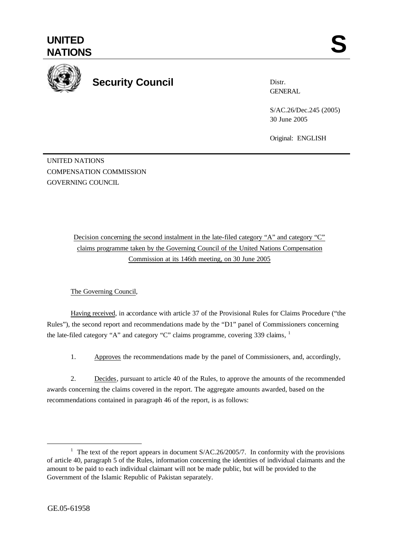

## **Security Council**

Distr. GENERAL

S/AC.26/Dec.245 (2005) 30 June 2005

Original: ENGLISH

UNITED NATIONS COMPENSATION COMMISSION GOVERNING COUNCIL

> Decision concerning the second instalment in the late-filed category "A" and category "C" claims programme taken by the Governing Council of the United Nations Compensation Commission at its 146th meeting, on 30 June 2005

## The Governing Council,

Having received, in accordance with article 37 of the Provisional Rules for Claims Procedure ("the Rules"), the second report and recommendations made by the "D1" panel of Commissioners concerning the late-filed category "A" and category "C" claims programme, covering 339 claims,  $<sup>1</sup>$ </sup>

1. Approves the recommendations made by the panel of Commissioners, and, accordingly,

2. Decides, pursuant to article 40 of the Rules, to approve the amounts of the recommended awards concerning the claims covered in the report. The aggregate amounts awarded, based on the recommendations contained in paragraph 46 of the report, is as follows:

l

<sup>&</sup>lt;sup>1</sup> The text of the report appears in document  $S/AC.26/2005/7$ . In conformity with the provisions of article 40, paragraph 5 of the Rules, information concerning the identities of individual claimants and the amount to be paid to each individual claimant will not be made public, but will be provided to the Government of the Islamic Republic of Pakistan separately.